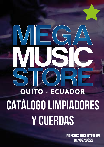# - ECUADOR QUITO Catálogo LIMPIADORES Y CUERDAS

Precios incluyen IVA 01/06/2022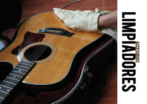

# **RACCESSES**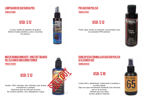# Limpiador de guitarra PRS (PACC3110X)

4 onzas, botella de limpiador de guitarra. *Eliminar huellas dactilares, polvo y manchas. No abrasivo* 



# PRS Guitar Polish (PACC3111X)

Polish sigue siendo el pulimento recomendado para *Jos acabados PRS estándar.* 



## (PACC3130X) (DUNL654SI) MUSIC NOMAD MN105F-ONE FRETBOARD Oil Cleaner and Conditioner

Aceites 100% naturales ultra refinados para limpiar, acondicionar y proteger. *<i>Totalmente libre de extractos de limón. No contiene petróleo, cera, detergentes ni aqua.* 



# Dunlop 654 Formula 65 Guitar Polish & Cleaner 4oz

Limpia total y rápidamente, restaurando el acabado a su brillo original. Deja una capa microtineada resistente a las manchas *gue no se acumula.* Perfecto para uso diario Dunlop; quitarra; limpiador

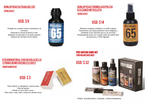# Dunlop 6582 UltraGlide 2oz (DUNL6582)

*Protege tus cuerdas contra el deslustre y la COLLOSIÓN* Extiende la cuerda tocando la vida. Aplicador incorporado en la parte superior. *Reduce los chirridos de los dedos.* 



#### Dunlop 654C Formula 65 Polish **& CLEANER WITH CLOTH** (DUNL654C)

*Restaura cualquier acabado a su brillo original.* **Proporciona una capa protectora micro-delgada y** resistente a las manchas que no se acumula Empaquetado junto con nuestro paño de pulido libre de químicos y 100% algodón.



#### (100148:007:002:002) PRS GUITAR CARE KIT



# KTAXONNATURAL VIOLIN VIOLA CELLO STRINGS BOWS ROSIN LESS DUST

(MONTAGMVR10)

# **USD: \$3**

*Todo natural, no alergénico, menos polvo* **Fácil de aplicar** Brinda un tono claro y puro. *Para violín, viola, cello y todos los demás arcos.* 



*3ulidor, Acondicionador, Limpiador, 3 paños limpiadores*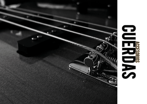

# accessive de la compagnie de la compagnie de la compagnie de la compagnie de la compagnie de la compagnie de la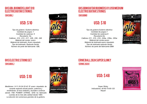## GHS GBL Boomers Light 010 Electric Guitar Strings (GHSGBL)

*Tipo de guitarra: Guitarra eléctrica* Cantidad de juegos: 1 Cantidad de cadenas: 6 Recubierto: No. Calibres: .010, .013, .017, .026, .036, .046 *Material del núcleo: acero Material de bobinado: Acero niquelado Tipo de bobinado: Redondo herido Número de parte del fabricante: GBL* 



# GHS GBM GUITAR BOOMERS 011.050 MEDIUM Electric Guitar Strings

#### (GHSGBM)

*Tipo de guitarra: Guitarra eléctrica* Cantidad de juegos:1 Cantidad de cadenas:6 Recubierto:No Calibres: 011, .015, .018, .026w, .036w, .050w *Material del núcleo:acero Material de bobinado:acero niquelado Tipo de bobinado: redondo herido Número de parte del fabricante: GBM* 



#### GHS Electric String Set (GHSGBXL)

# USD: \$ 10

*Medidores: 9-11-16-24-32-42 El acero niquelado de ensarte redondo brinda pasión, potencia y* rendimiento. El tono brillante y duradero continúa  $Siendo$  THE POWER STRING, GHS ha fabricado cuerdas de la más alta calidad desde 1964. La elección de numerosos grandes de la guitarra.



#### Ernie Ball 2824 Super Slinky (ERNIE 2824)

# **USD: \$48**

Super Slinky *<u>Indicadores: 40-60-75-95-125</u> Níquel* 

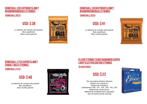# <u>Ernie Ball 2833 Hy Brid Slinky</u> Roundwound Bass Strings

La aleación de cuerdas más popular **Bien equilibrado** Buen sonido general



# Ernie Ball 2838 Hybrid Slinky Roundwound Bass Strings

La aleación de cuerdas más popular **Bien equilibrado Buen sonido general** 



#### Ernie Ball 2734 super slinky cobalt Bass Strings

(Ernie Ball 2734)

# **USD: \$48**

La aleación de cuerdas más popular Bien equilibrado **Buen sonido general** 



#### Elixir Strings 12002 Nanoweb Super Light Electric Guitar Strings

#### (ELIXIR 12002)

# USD: \$ 23

*Tipo de guitarra: Guitarra eléctrica Número de conjuntos:1 Número de cuerdas:6* Calibradores: 009, 011, 016, 024, 032, 042 *Material del núcleo:Acero Material de enrollado: acero niquelado* Tipo de bobina:herida redonda

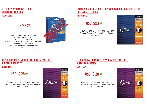#### ELIXIR 12052 NANOWEB LIGHT GUITARRA eléctrica (ELIXIR 12052)

*Tipo de guitarra:Guitarra eléctrica Número de conjuntos:1 Número de cuerdas:6 Calibradores:.010, .013, .017, .026, .036, .046 Material del núcleo:Acero Material de enrollado:acero niquelado Tipo de bobina:herida redonda*



#### ELIXIR NICKEL PLATED STEEL / NANOWEB 009-042 Super LIGHT GUITARRA eléctrica

#### (ELIXIR 12002)

*Calibres: 010 - 014 - 023 - 030 - 039 - 047 Recubrimiento Anti-Rust en planas y Nanoweb en entorchadas.*



#### ELIXIR BRONZE NANOWEB /010-047 EXTRA LIGHT GUITARRA ACústica (ELIXIR 11002)

*Calibres: 010 - 014 - 023 - 030 - 039 - 047 Recubrimiento Anti-Rust en planas y Nanoweb en entorchadas.*



#### ELIXIR BRONZE NANOWEB /011-052 CUSTOM LIGHT GUITARRA ACústica

(ELIXIR 11027)

*Calibres: 011 - 015 - 022 - 032 - 042 - 052 Recubrimiento Anti-Rust en planas y Nanoweb en entorchadas.*

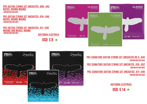#### PRS GUITAR STRING SET UNCOATED .009-.042 NICKEL ROUND WOUND (100148:001:001:001)

#### PRS GUITAR STRING SET UNCOATED .010-.046 NICKEL ROUND WOUND (100148:003:001:001)

#### PRS GUITAR STRING SET UNCOATED .011-.049 WOUND 3RD NICKEL ROUND (100148:005:001:001)

GUITARRA eléctrica

USD:  $$8 \star$ 





PRS SIGNATURE GUITAR STRING SET UNCOATED 09.5-.044 (100148:002:001:004) PRS SIGNATURE GUITAR STRING SET UNCOATED .010-.052 (100148:011:001:004)

PRS SIGNATURE GUITAR STRING SET UNCOATED .011-.049 (100148:005:001:004)

> GUITARRA eléctrica USD:  $$14 \star$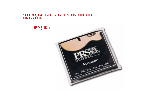#### PRS GUITAR STRING COATED .012-.056 80/20 BRONZE ROUND WOUND <u>GUITARRA ACÚSTICA</u>

USD:  $$15 \star$